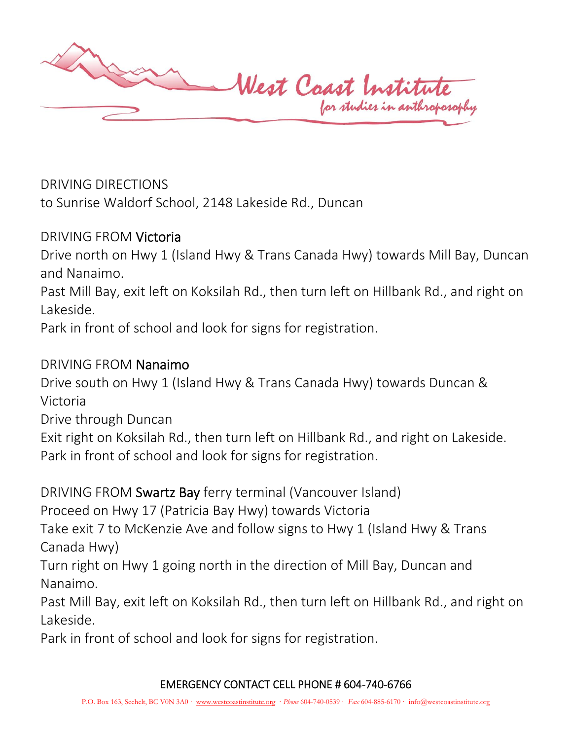

DRIVING DIRECTIONS

to Sunrise Waldorf School, 2148 Lakeside Rd., Duncan

# DRIVING FROM Victoria

Drive north on Hwy 1 (Island Hwy & Trans Canada Hwy) towards Mill Bay, Duncan and Nanaimo.

Past Mill Bay, exit left on Koksilah Rd., then turn left on Hillbank Rd., and right on Lakeside.

Park in front of school and look for signs for registration.

## DRIVING FROM Nanaimo

Drive south on Hwy 1 (Island Hwy & Trans Canada Hwy) towards Duncan & Victoria

Drive through Duncan

Exit right on Koksilah Rd., then turn left on Hillbank Rd., and right on Lakeside. Park in front of school and look for signs for registration.

DRIVING FROM Swartz Bay ferry terminal (Vancouver Island)

Proceed on Hwy 17 (Patricia Bay Hwy) towards Victoria

Take exit 7 to McKenzie Ave and follow signs to Hwy 1 (Island Hwy & Trans Canada Hwy)

Turn right on Hwy 1 going north in the direction of Mill Bay, Duncan and Nanaimo.

Past Mill Bay, exit left on Koksilah Rd., then turn left on Hillbank Rd., and right on Lakeside.

Park in front of school and look for signs for registration.

### EMERGENCY CONTACT CELL PHONE # 604-740-6766